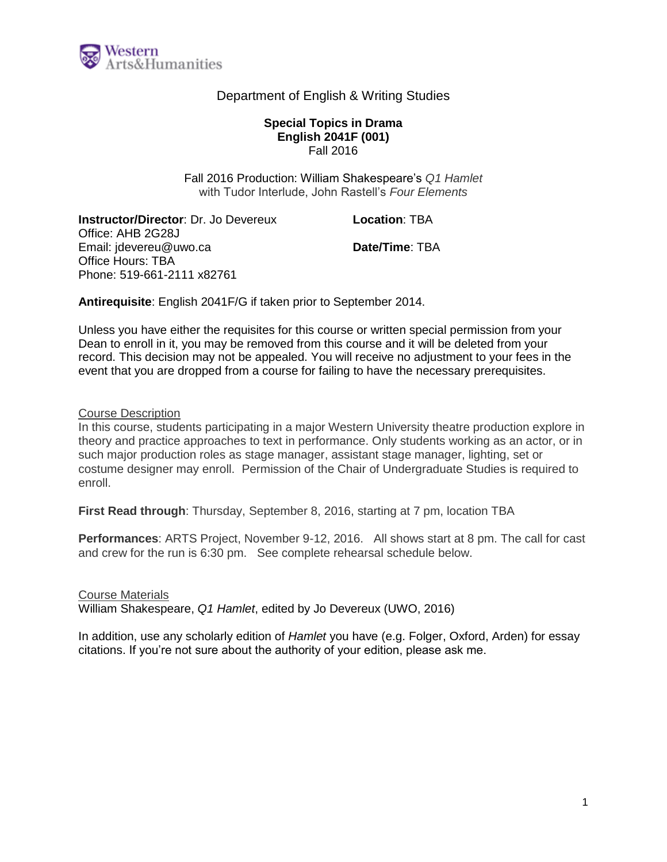

## Department of English & Writing Studies

#### **Special Topics in Drama English 2041F (001)** Fall 2016

Fall 2016 Production: William Shakespeare's *Q1 Hamlet* with Tudor Interlude, John Rastell's *Four Elements*

**Instructor/Director**: Dr. Jo Devereux Office: AHB 2G28J Email: jdevereu@uwo.ca Office Hours: TBA Phone: 519-661-2111 x82761

**Location**: TBA

**Date/Time**: TBA

**Antirequisite**: English 2041F/G if taken prior to September 2014.

Unless you have either the requisites for this course or written special permission from your Dean to enroll in it, you may be removed from this course and it will be deleted from your record. This decision may not be appealed. You will receive no adjustment to your fees in the event that you are dropped from a course for failing to have the necessary prerequisites.

Course Description

In this course, students participating in a major Western University theatre production explore in theory and practice approaches to text in performance. Only students working as an actor, or in such major production roles as stage manager, assistant stage manager, lighting, set or costume designer may enroll. Permission of the Chair of Undergraduate Studies is required to enroll.

**First Read through**: Thursday, September 8, 2016, starting at 7 pm, location TBA

**Performances**: ARTS Project, November 9-12, 2016. All shows start at 8 pm. The call for cast and crew for the run is 6:30 pm. See complete rehearsal schedule below.

Course Materials

William Shakespeare, *Q1 Hamlet*, edited by Jo Devereux (UWO, 2016)

In addition, use any scholarly edition of *Hamlet* you have (e.g. Folger, Oxford, Arden) for essay citations. If you're not sure about the authority of your edition, please ask me.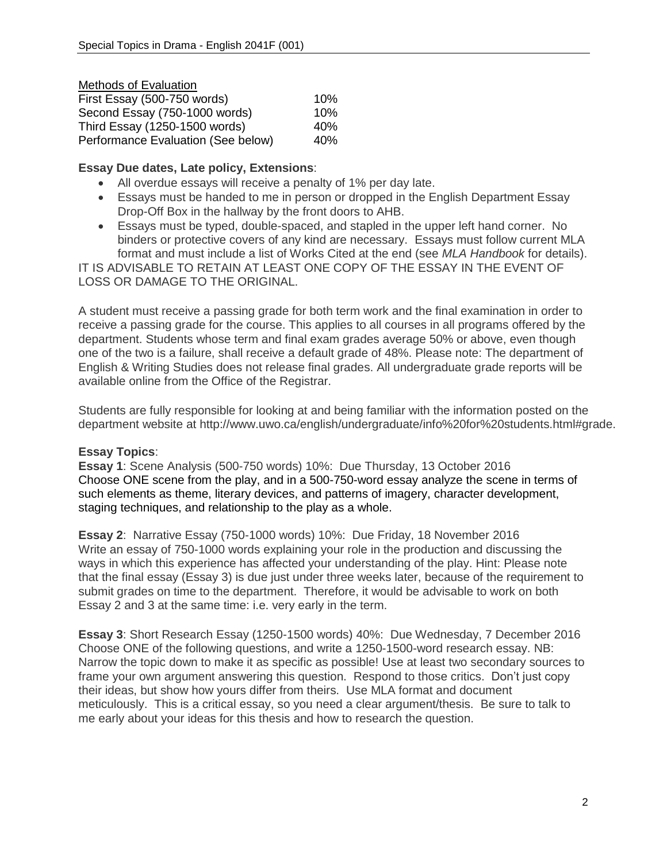| Methods of Evaluation              |     |
|------------------------------------|-----|
| First Essay (500-750 words)        | 10% |
| Second Essay (750-1000 words)      | 10% |
| Third Essay (1250-1500 words)      | 40% |
| Performance Evaluation (See below) | 40% |

## **Essay Due dates, Late policy, Extensions**:

- All overdue essays will receive a penalty of 1% per day late.
- Essays must be handed to me in person or dropped in the English Department Essay Drop-Off Box in the hallway by the front doors to AHB.
- Essays must be typed, double-spaced, and stapled in the upper left hand corner. No binders or protective covers of any kind are necessary. Essays must follow current MLA format and must include a list of Works Cited at the end (see *MLA Handbook* for details).

IT IS ADVISABLE TO RETAIN AT LEAST ONE COPY OF THE ESSAY IN THE EVENT OF LOSS OR DAMAGE TO THE ORIGINAL.

A student must receive a passing grade for both term work and the final examination in order to receive a passing grade for the course. This applies to all courses in all programs offered by the department. Students whose term and final exam grades average 50% or above, even though one of the two is a failure, shall receive a default grade of 48%. Please note: The department of English & Writing Studies does not release final grades. All undergraduate grade reports will be available online from the Office of the Registrar.

Students are fully responsible for looking at and being familiar with the information posted on the department website at http://www.uwo.ca/english/undergraduate/info%20for%20students.html#grade.

# **Essay Topics**:

**Essay 1**: Scene Analysis (500-750 words) 10%: Due Thursday, 13 October 2016 Choose ONE scene from the play, and in a 500-750-word essay analyze the scene in terms of such elements as theme, literary devices, and patterns of imagery, character development, staging techniques, and relationship to the play as a whole.

**Essay 2**: Narrative Essay (750-1000 words) 10%: Due Friday, 18 November 2016 Write an essay of 750-1000 words explaining your role in the production and discussing the ways in which this experience has affected your understanding of the play. Hint: Please note that the final essay (Essay 3) is due just under three weeks later, because of the requirement to submit grades on time to the department. Therefore, it would be advisable to work on both Essay 2 and 3 at the same time: i.e. very early in the term.

**Essay 3**: Short Research Essay (1250-1500 words) 40%: Due Wednesday, 7 December 2016 Choose ONE of the following questions, and write a 1250-1500-word research essay. NB: Narrow the topic down to make it as specific as possible! Use at least two secondary sources to frame your own argument answering this question. Respond to those critics. Don't just copy their ideas, but show how yours differ from theirs. Use MLA format and document meticulously. This is a critical essay, so you need a clear argument/thesis. Be sure to talk to me early about your ideas for this thesis and how to research the question.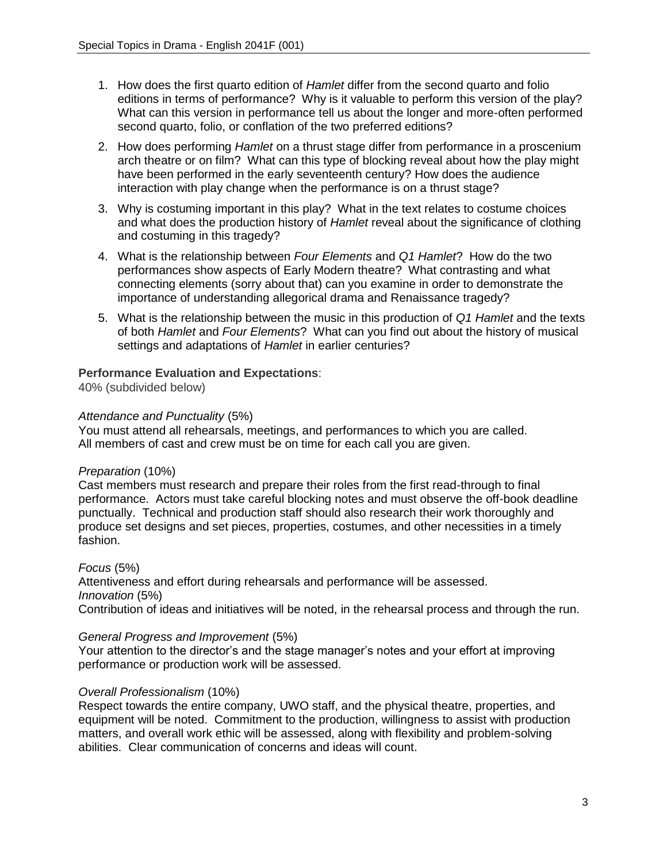- 1. How does the first quarto edition of *Hamlet* differ from the second quarto and folio editions in terms of performance? Why is it valuable to perform this version of the play? What can this version in performance tell us about the longer and more-often performed second quarto, folio, or conflation of the two preferred editions?
- 2. How does performing *Hamlet* on a thrust stage differ from performance in a proscenium arch theatre or on film? What can this type of blocking reveal about how the play might have been performed in the early seventeenth century? How does the audience interaction with play change when the performance is on a thrust stage?
- 3. Why is costuming important in this play? What in the text relates to costume choices and what does the production history of *Hamlet* reveal about the significance of clothing and costuming in this tragedy?
- 4. What is the relationship between *Four Elements* and *Q1 Hamlet*? How do the two performances show aspects of Early Modern theatre? What contrasting and what connecting elements (sorry about that) can you examine in order to demonstrate the importance of understanding allegorical drama and Renaissance tragedy?
- 5. What is the relationship between the music in this production of *Q1 Hamlet* and the texts of both *Hamlet* and *Four Elements*? What can you find out about the history of musical settings and adaptations of *Hamlet* in earlier centuries?

## **Performance Evaluation and Expectations**:

40% (subdivided below)

### *Attendance and Punctuality* (5%)

You must attend all rehearsals, meetings, and performances to which you are called. All members of cast and crew must be on time for each call you are given.

### *Preparation* (10%)

Cast members must research and prepare their roles from the first read-through to final performance. Actors must take careful blocking notes and must observe the off-book deadline punctually. Technical and production staff should also research their work thoroughly and produce set designs and set pieces, properties, costumes, and other necessities in a timely fashion.

### *Focus* (5%)

Attentiveness and effort during rehearsals and performance will be assessed. *Innovation* (5%) Contribution of ideas and initiatives will be noted, in the rehearsal process and through the run.

#### *General Progress and Improvement* (5%)

Your attention to the director's and the stage manager's notes and your effort at improving performance or production work will be assessed.

### *Overall Professionalism* (10%)

Respect towards the entire company, UWO staff, and the physical theatre, properties, and equipment will be noted. Commitment to the production, willingness to assist with production matters, and overall work ethic will be assessed, along with flexibility and problem-solving abilities. Clear communication of concerns and ideas will count.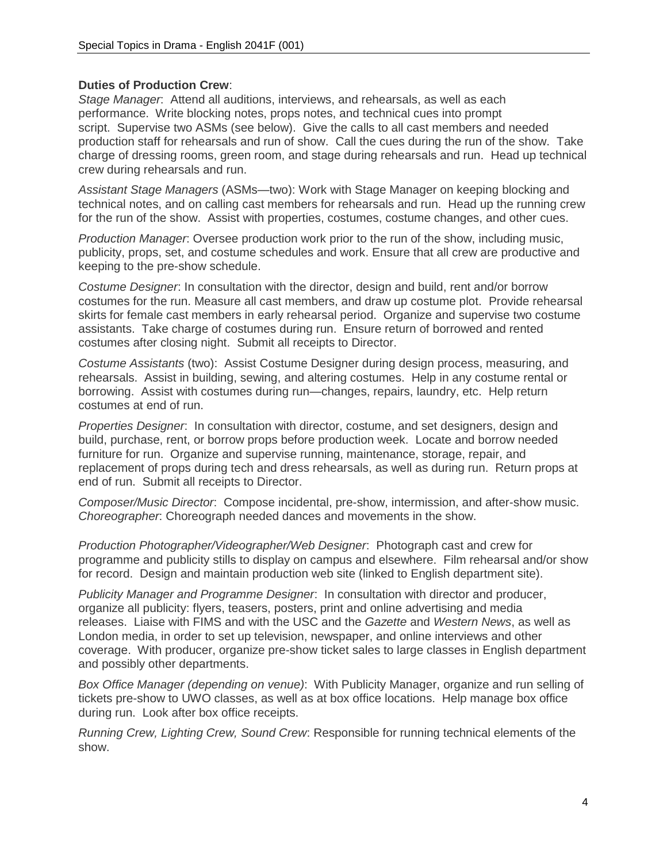### **Duties of Production Crew**:

*Stage Manager*: Attend all auditions, interviews, and rehearsals, as well as each performance. Write blocking notes, props notes, and technical cues into prompt script. Supervise two ASMs (see below). Give the calls to all cast members and needed production staff for rehearsals and run of show. Call the cues during the run of the show. Take charge of dressing rooms, green room, and stage during rehearsals and run. Head up technical crew during rehearsals and run.

*Assistant Stage Managers* (ASMs—two): Work with Stage Manager on keeping blocking and technical notes, and on calling cast members for rehearsals and run. Head up the running crew for the run of the show. Assist with properties, costumes, costume changes, and other cues.

*Production Manager*: Oversee production work prior to the run of the show, including music, publicity, props, set, and costume schedules and work. Ensure that all crew are productive and keeping to the pre-show schedule.

*Costume Designer*: In consultation with the director, design and build, rent and/or borrow costumes for the run. Measure all cast members, and draw up costume plot. Provide rehearsal skirts for female cast members in early rehearsal period. Organize and supervise two costume assistants. Take charge of costumes during run. Ensure return of borrowed and rented costumes after closing night. Submit all receipts to Director.

*Costume Assistants* (two): Assist Costume Designer during design process, measuring, and rehearsals. Assist in building, sewing, and altering costumes. Help in any costume rental or borrowing. Assist with costumes during run—changes, repairs, laundry, etc. Help return costumes at end of run.

*Properties Designer*: In consultation with director, costume, and set designers, design and build, purchase, rent, or borrow props before production week. Locate and borrow needed furniture for run. Organize and supervise running, maintenance, storage, repair, and replacement of props during tech and dress rehearsals, as well as during run. Return props at end of run. Submit all receipts to Director.

*Composer/Music Director*: Compose incidental, pre-show, intermission, and after-show music. *Choreographer*: Choreograph needed dances and movements in the show.

*Production Photographer/Videographer/Web Designer*: Photograph cast and crew for programme and publicity stills to display on campus and elsewhere. Film rehearsal and/or show for record. Design and maintain production web site (linked to English department site).

*Publicity Manager and Programme Designer*: In consultation with director and producer, organize all publicity: flyers, teasers, posters, print and online advertising and media releases. Liaise with FIMS and with the USC and the *Gazette* and *Western News*, as well as London media, in order to set up television, newspaper, and online interviews and other coverage. With producer, organize pre-show ticket sales to large classes in English department and possibly other departments.

*Box Office Manager (depending on venue)*: With Publicity Manager, organize and run selling of tickets pre-show to UWO classes, as well as at box office locations. Help manage box office during run. Look after box office receipts.

*Running Crew, Lighting Crew, Sound Crew*: Responsible for running technical elements of the show.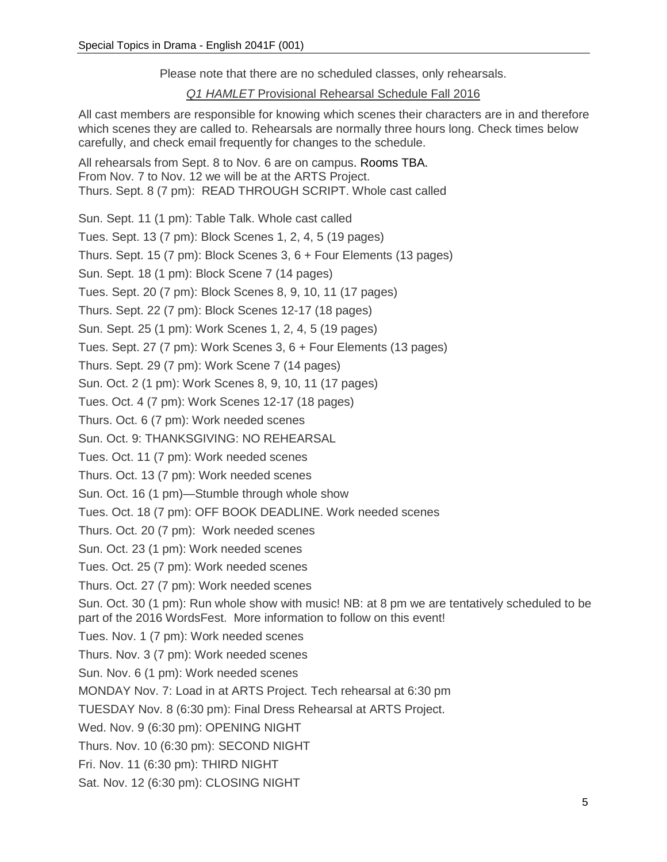Please note that there are no scheduled classes, only rehearsals.

*Q1 HAMLET* Provisional Rehearsal Schedule Fall 2016

All cast members are responsible for knowing which scenes their characters are in and therefore which scenes they are called to. Rehearsals are normally three hours long. Check times below carefully, and check email frequently for changes to the schedule.

All rehearsals from Sept. 8 to Nov. 6 are on campus. Rooms TBA. From Nov. 7 to Nov. 12 we will be at the ARTS Project. Thurs. Sept. 8 (7 pm): READ THROUGH SCRIPT. Whole cast called

Sun. Sept. 11 (1 pm): Table Talk. Whole cast called

Tues. Sept. 13 (7 pm): Block Scenes 1, 2, 4, 5 (19 pages)

Thurs. Sept. 15 (7 pm): Block Scenes 3, 6 + Four Elements (13 pages)

Sun. Sept. 18 (1 pm): Block Scene 7 (14 pages)

Tues. Sept. 20 (7 pm): Block Scenes 8, 9, 10, 11 (17 pages)

Thurs. Sept. 22 (7 pm): Block Scenes 12-17 (18 pages)

Sun. Sept. 25 (1 pm): Work Scenes 1, 2, 4, 5 (19 pages)

Tues. Sept. 27 (7 pm): Work Scenes 3, 6 + Four Elements (13 pages)

Thurs. Sept. 29 (7 pm): Work Scene 7 (14 pages)

Sun. Oct. 2 (1 pm): Work Scenes 8, 9, 10, 11 (17 pages)

Tues. Oct. 4 (7 pm): Work Scenes 12-17 (18 pages)

Thurs. Oct. 6 (7 pm): Work needed scenes

Sun. Oct. 9: THANKSGIVING: NO REHEARSAL

Tues. Oct. 11 (7 pm): Work needed scenes

Thurs. Oct. 13 (7 pm): Work needed scenes

Sun. Oct. 16 (1 pm)—Stumble through whole show

Tues. Oct. 18 (7 pm): OFF BOOK DEADLINE. Work needed scenes

Thurs. Oct. 20 (7 pm): Work needed scenes

Sun. Oct. 23 (1 pm): Work needed scenes

Tues. Oct. 25 (7 pm): Work needed scenes

Thurs. Oct. 27 (7 pm): Work needed scenes

Sun. Oct. 30 (1 pm): Run whole show with music! NB: at 8 pm we are tentatively scheduled to be part of the 2016 WordsFest. More information to follow on this event!

Tues. Nov. 1 (7 pm): Work needed scenes

Thurs. Nov. 3 (7 pm): Work needed scenes

Sun. Nov. 6 (1 pm): Work needed scenes

MONDAY Nov. 7: Load in at ARTS Project. Tech rehearsal at 6:30 pm

TUESDAY Nov. 8 (6:30 pm): Final Dress Rehearsal at ARTS Project.

Wed. Nov. 9 (6:30 pm): OPENING NIGHT

Thurs. Nov. 10 (6:30 pm): SECOND NIGHT

Fri. Nov. 11 (6:30 pm): THIRD NIGHT

Sat. Nov. 12 (6:30 pm): CLOSING NIGHT